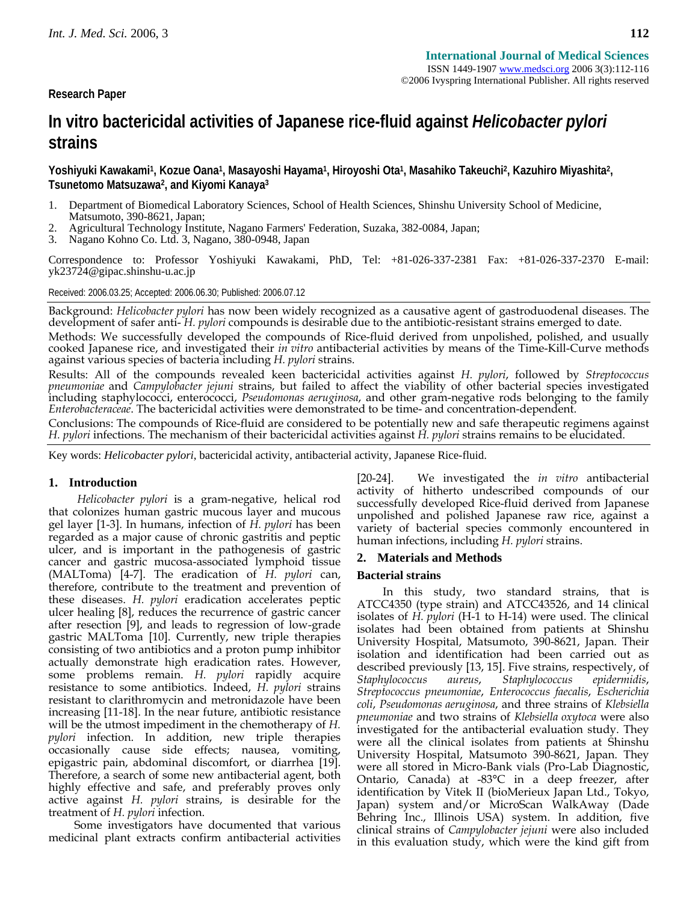**Research Paper** 

# **In vitro bactericidal activities of Japanese rice-fluid against** *Helicobacter pylori* **strains**

**Yoshiyuki Kawakami1, Kozue Oana1, Masayoshi Hayama1, Hiroyoshi Ota1, Masahiko Takeuchi2, Kazuhiro Miyashita2, Tsunetomo Matsuzawa2, and Kiyomi Kanaya3**

- 1. Department of Biomedical Laboratory Sciences, School of Health Sciences, Shinshu University School of Medicine, Matsumoto, 390-8621, Japan;
- 2. Agricultural Technology Institute, Nagano Farmers' Federation, Suzaka, 382-0084, Japan;
- 3. Nagano Kohno Co. Ltd. 3, Nagano, 380-0948, Japan

Correspondence to: Professor Yoshiyuki Kawakami, PhD, Tel: +81-026-337-2381 Fax: +81-026-337-2370 E-mail: yk23724@gipac.shinshu-u.ac.jp

Received: 2006.03.25; Accepted: 2006.06.30; Published: 2006.07.12

Background: Helicobacter pylori has now been widely recognized as a causative agent of gastroduodenal diseases. The<br>development of safer anti- H. pylori compounds is desirable due to the antibiotic-resistant strains emerge

Methods: We successfully developed the compounds of Rice-fluid derived from unpolished, polished, and usually<br>cooked Japanese rice, and investigated their in vitro antibacterial activities by means of the Time-Kill-Curve m against various species of bacteria including *H. pylori* strains.

Results: All of the compounds revealed keen bactericidal activities against *H. pylori*, followed by *Streptococcus pneumoniae* and *Campylobacter jejuni* strains, but failed to affect the viability of other bacterial species investigated including staphylococci, enterococci, *Pseudomonas aeruginosa*, and other gram-negative rods belonging to the family *Enterobacteraceae*. The bactericidal activities were demonstrated to be time- and concentration-dependent.

Conclusions: The compounds of Rice-fluid are considered to be potentially new and safe therapeutic regimens against *H. pylori* infections. The mechanism of their bactericidal activities against *H. pylori* strains remains to be elucidated.

Key words: *Helicobacter pylori*, bactericidal activity, antibacterial activity, Japanese Rice-fluid.

## **1. Introduction**

*Helicobacter pylori* is a gram-negative, helical rod that colonizes human gastric mucous layer and mucous gel layer [1-3]. In humans, infection of *H. pylori* has been regarded as a major cause of chronic gastritis and peptic ulcer, and is important in the pathogenesis of gastric cancer and gastric mucosa-associated lymphoid tissue (MALToma) [4-7]. The eradication of *H. pylori* can, therefore, contribute to the treatment and prevention of these diseases. *H. pylori* eradication accelerates peptic ulcer healing [8], reduces the recurrence of gastric cancer after resection [9], and leads to regression of low-grade gastric MALToma [10]. Currently, new triple therapies consisting of two antibiotics and a proton pump inhibitor actually demonstrate high eradication rates. However, some problems remain. *H. pylori* rapidly acquire resistance to some antibiotics. Indeed, *H. pylori* strains resistant to clarithromycin and metronidazole have been increasing [11-18]. In the near future, antibiotic resistance will be the utmost impediment in the chemotherapy of *H. pylori* infection. In addition, new triple therapies occasionally cause side effects; nausea, vomiting, epigastric pain, abdominal discomfort, or diarrhea [19]. Therefore, a search of some new antibacterial agent, both highly effective and safe, and preferably proves only active against *H. pylori* strains, is desirable for the treatment of *H. pylori* infection.

Some investigators have documented that various medicinal plant extracts confirm antibacterial activities [20-24]. We investigated the *in vitro* antibacterial activity of hitherto undescribed compounds of our successfully developed Rice-fluid derived from Japanese unpolished and polished Japanese raw rice, against a variety of bacterial species commonly encountered in human infections, including *H. pylori* strains.

## **2. Materials and Methods**

### **Bacterial strains**

In this study, two standard strains, that is ATCC4350 (type strain) and ATCC43526, and 14 clinical isolates of *H. pylori* (H-1 to H-14) were used. The clinical isolates had been obtained from patients at Shinshu University Hospital, Matsumoto, 390-8621, Japan. Their isolation and identification had been carried out as described previously [13, 15]. Five strains, respectively, of *Staphylococcus aureus*, *Staphylococcus epidermidis*, *Streptococcus pneumoniae*, *Enterococcus faecalis*, *Escherichia coli*, *Pseudomonas aeruginosa*, and three strains of *Klebsiella pneumoniae* and two strains of *Klebsiella oxytoca* were also investigated for the antibacterial evaluation study. They were all the clinical isolates from patients at Shinshu University Hospital, Matsumoto 390-8621, Japan. They were all stored in Micro-Bank vials (Pro-Lab Diagnostic, Ontario, Canada) at -83°C in a deep freezer, after identification by Vitek II (bioMerieux Japan Ltd., Tokyo, Japan) system and/or MicroScan WalkAway (Dade Behring Inc., Illinois USA) system. In addition, five clinical strains of *Campylobacter jejuni* were also included in this evaluation study, which were the kind gift from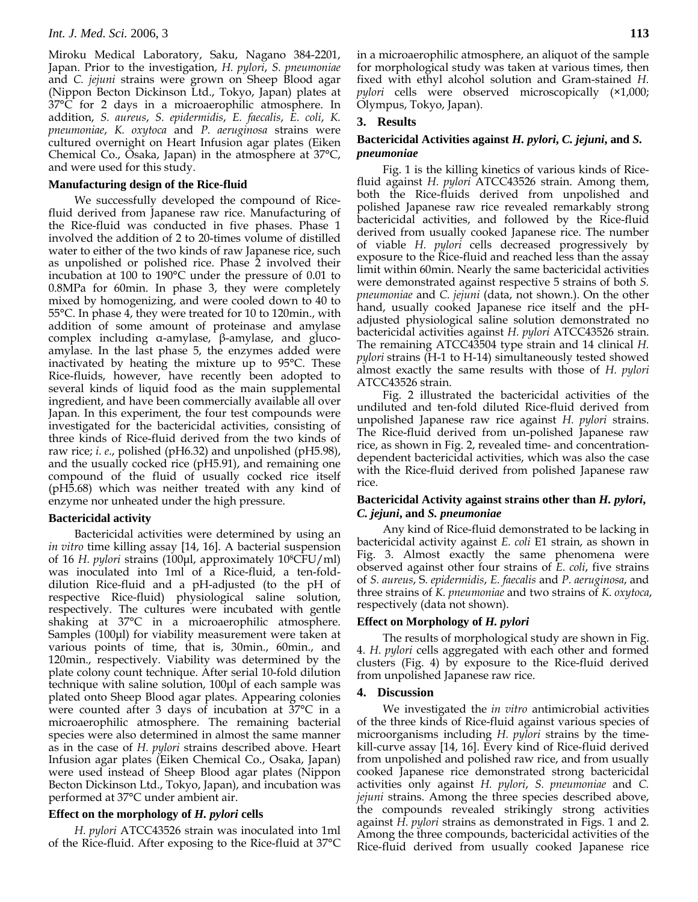Miroku Medical Laboratory, Saku, Nagano 384-2201, Japan. Prior to the investigation, *H. pylori*, *S. pneumoniae* and *C. jejuni* strains were grown on Sheep Blood agar (Nippon Becton Dickinson Ltd., Tokyo, Japan) plates at 37°C for 2 days in a microaerophilic atmosphere. In addition, *S. aureus*, *S. epidermidis*, *E. faecalis*, *E. coli*, *K. pneumoniae*, *K. oxytoca* and *P. aeruginosa* strains were cultured overnight on Heart Infusion agar plates (Eiken Chemical Co., Osaka, Japan) in the atmosphere at 37°C, and were used for this study.

## **Manufacturing design of the Rice-fluid**

We successfully developed the compound of Ricefluid derived from Japanese raw rice. Manufacturing of the Rice-fluid was conducted in five phases. Phase 1 involved the addition of 2 to 20-times volume of distilled water to either of the two kinds of raw Japanese rice, such as unpolished or polished rice. Phase 2 involved their incubation at 100 to 190°C under the pressure of 0.01 to 0.8MPa for 60min. In phase 3, they were completely mixed by homogenizing, and were cooled down to 40 to 55°C. In phase 4, they were treated for 10 to 120min., with addition of some amount of proteinase and amylase complex including α-amylase, β-amylase, and glucoamylase. In the last phase 5, the enzymes added were inactivated by heating the mixture up to 95°C. These Rice-fluids, however, have recently been adopted to several kinds of liquid food as the main supplemental ingredient, and have been commercially available all over Japan. In this experiment, the four test compounds were investigated for the bactericidal activities, consisting of three kinds of Rice-fluid derived from the two kinds of raw rice; *i. e*., polished (pH6.32) and unpolished (pH5.98), and the usually cocked rice (pH5.91), and remaining one compound of the fluid of usually cocked rice itself (pH5.68) which was neither treated with any kind of enzyme nor unheated under the high pressure.

### **Bactericidal activity**

Bactericidal activities were determined by using an *in vitro* time killing assay [14, 16]. A bacterial suspension of 16 *H. pylori* strains (100μl, approximately 108CFU/ml) was inoculated into 1ml of a Rice-fluid, a ten-folddilution Rice-fluid and a pH-adjusted (to the pH of respective Rice-fluid) physiological saline solution, respectively. The cultures were incubated with gentle shaking at 37°C in a microaerophilic atmosphere. Samples (100μl) for viability measurement were taken at various points of time, that is, 30min., 60min., and 120min., respectively. Viability was determined by the plate colony count technique. After serial 10-fold dilution technique with saline solution, 100μl of each sample was plated onto Sheep Blood agar plates. Appearing colonies were counted after 3 days of incubation at 37°C in a microaerophilic atmosphere. The remaining bacterial species were also determined in almost the same manner as in the case of *H. pylori* strains described above. Heart Infusion agar plates (Eiken Chemical Co., Osaka, Japan) were used instead of Sheep Blood agar plates (Nippon Becton Dickinson Ltd., Tokyo, Japan), and incubation was performed at 37°C under ambient air.

### **Effect on the morphology of** *H. pylori* **cells**

*H. pylori* ATCC43526 strain was inoculated into 1ml of the Rice-fluid. After exposing to the Rice-fluid at 37°C in a microaerophilic atmosphere, an aliquot of the sample for morphological study was taken at various times, then fixed with ethyl alcohol solution and Gram-stained *H. pylori* cells were observed microscopically (×1,000; Olympus, Tokyo, Japan).

### **3. Results**

## **Bactericidal Activities against** *H. pylori***,** *C. jejuni***, and** *S. pneumoniae*

Fig. 1 is the killing kinetics of various kinds of Ricefluid against *H. pylori* ATCC43526 strain. Among them, both the Rice-fluids derived from unpolished and polished Japanese raw rice revealed remarkably strong bactericidal activities, and followed by the Rice-fluid derived from usually cooked Japanese rice. The number of viable *H. pylori* cells decreased progressively by exposure to the Rice-fluid and reached less than the assay limit within 60min. Nearly the same bactericidal activities were demonstrated against respective 5 strains of both *S. pneumoniae* and *C. jejuni* (data, not shown.). On the other hand, usually cooked Japanese rice itself and the pHadjusted physiological saline solution demonstrated no bactericidal activities against *H. pylori* ATCC43526 strain. The remaining ATCC43504 type strain and 14 clinical *H. pylori* strains (H-1 to H-14) simultaneously tested showed almost exactly the same results with those of *H. pylori* ATCC43526 strain.

Fig. 2 illustrated the bactericidal activities of the undiluted and ten-fold diluted Rice-fluid derived from unpolished Japanese raw rice against *H. pylori* strains. The Rice-fluid derived from un-polished Japanese raw rice, as shown in Fig. 2, revealed time- and concentrationdependent bactericidal activities, which was also the case with the Rice-fluid derived from polished Japanese raw rice.

## **Bactericidal Activity against strains other than** *H. pylori***,**  *C. jejuni***, and** *S. pneumoniae*

Any kind of Rice-fluid demonstrated to be lacking in bactericidal activity against *E. coli* E1 strain, as shown in Fig. 3. Almost exactly the same phenomena were observed against other four strains of *E. coli*, five strains of *S. aureus*, S*. epidermidis*, *E. faecalis* and *P. aeruginosa*, and three strains of *K. pneumoniae* and two strains of *K. oxytoca*, respectively (data not shown).

# **Effect on Morphology of** *H. pylori*

The results of morphological study are shown in Fig. 4. *H. pylori* cells aggregated with each other and formed clusters (Fig. 4) by exposure to the Rice-fluid derived from unpolished Japanese raw rice.

### **4. Discussion**

We investigated the *in vitro* antimicrobial activities of the three kinds of Rice-fluid against various species of microorganisms including *H. pylori* strains by the timekill-curve assay [14, 16]. Every kind of Rice-fluid derived from unpolished and polished raw rice, and from usually cooked Japanese rice demonstrated strong bactericidal activities only against *H. pylori*, *S. pneumoniae* and *C. jejuni* strains. Among the three species described above, the compounds revealed strikingly strong activities against *H. pylori* strains as demonstrated in Figs. 1 and 2. Among the three compounds, bactericidal activities of the Rice-fluid derived from usually cooked Japanese rice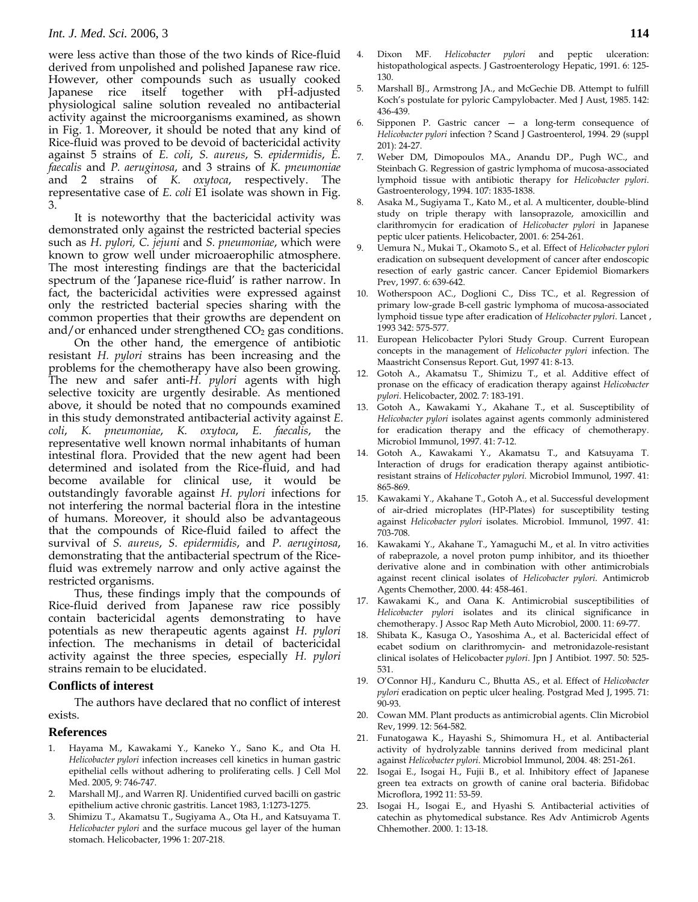were less active than those of the two kinds of Rice-fluid derived from unpolished and polished Japanese raw rice. However, other compounds such as usually cooked Japanese rice itself together with pH-adjusted physiological saline solution revealed no antibacterial activity against the microorganisms examined, as shown in Fig. 1. Moreover, it should be noted that any kind of Rice-fluid was proved to be devoid of bactericidal activity against 5 strains of *E. coli*, *S. aureus*, S*. epidermidis*, *E. faecalis* and *P. aeruginosa*, and 3 strains of *K. pneumoniae* and 2 strains of *K. oxytoca*, respectively. The representative case of *E. coli* E1 isolate was shown in Fig. 3.

It is noteworthy that the bactericidal activity was demonstrated only against the restricted bacterial species such as *H. pylori, C. jejuni* and *S. pneumoniae*, which were known to grow well under microaerophilic atmosphere. The most interesting findings are that the bactericidal spectrum of the 'Japanese rice-fluid' is rather narrow. In fact, the bactericidal activities were expressed against only the restricted bacterial species sharing with the common properties that their growths are dependent on and/or enhanced under strengthened  $CO<sub>2</sub>$  gas conditions.

On the other hand, the emergence of antibiotic resistant *H. pylori* strains has been increasing and the problems for the chemotherapy have also been growing. The new and safer anti-*H. pylori* agents with high selective toxicity are urgently desirable. As mentioned above, it should be noted that no compounds examined in this study demonstrated antibacterial activity against *E. coli*, *K. pneumoniae*, *K. oxytoca*, *E. faecalis*, the representative well known normal inhabitants of human intestinal flora. Provided that the new agent had been determined and isolated from the Rice-fluid, and had become available for clinical use, it would be outstandingly favorable against *H. pylori* infections for not interfering the normal bacterial flora in the intestine of humans. Moreover, it should also be advantageous that the compounds of Rice-fluid failed to affect the survival of *S. aureus*, *S. epidermidis*, and *P. aeruginosa*, demonstrating that the antibacterial spectrum of the Ricefluid was extremely narrow and only active against the restricted organisms.

Thus, these findings imply that the compounds of Rice-fluid derived from Japanese raw rice possibly contain bactericidal agents demonstrating to have potentials as new therapeutic agents against *H. pylori* infection. The mechanisms in detail of bactericidal activity against the three species, especially *H. pylori* strains remain to be elucidated.

## **Conflicts of interest**

The authors have declared that no conflict of interest exists.

## **References**

- 1. Hayama M., Kawakami Y., Kaneko Y., Sano K., and Ota H. *Helicobacter pylori* infection increases cell kinetics in human gastric epithelial cells without adhering to proliferating cells. J Cell Mol Med. 2005, 9: 746-747.
- 2. Marshall MJ., and Warren RJ. Unidentified curved bacilli on gastric epithelium active chronic gastritis. Lancet 1983, 1:1273-1275.
- 3. Shimizu T., Akamatsu T., Sugiyama A., Ota H., and Katsuyama T. *Helicobacter pylori* and the surface mucous gel layer of the human stomach. Helicobacter, 1996 1: 207-218.
- 4. Dixon MF. *Helicobacter pylori* and peptic ulceration: histopathological aspects. J Gastroenterology Hepatic, 1991. 6: 125- 130.
- 5. Marshall BJ., Armstrong JA., and McGechie DB. Attempt to fulfill Koch's postulate for pyloric Campylobacter. Med J Aust, 1985. 142: 436-439.
- 6. Sipponen P. Gastric cancer a long-term consequence of *Helicobacter pylori* infection ? Scand J Gastroenterol, 1994. 29 (suppl 201): 24-27.
- 7. Weber DM, Dimopoulos MA., Anandu DP., Pugh WC., and Steinbach G. Regression of gastric lymphoma of mucosa-associated lymphoid tissue with antibiotic therapy for *Helicobacter pylori*. Gastroenterology, 1994. 107: 1835-1838.
- 8. Asaka M., Sugiyama T., Kato M., et al. A multicenter, double-blind study on triple therapy with lansoprazole, amoxicillin and clarithromycin for eradication of *Helicobacter pylori* in Japanese peptic ulcer patients. Helicobacter, 2001. 6: 254-261.
- 9. Uemura N., Mukai T., Okamoto S., et al. Effect of *Helicobacter pylori* eradication on subsequent development of cancer after endoscopic resection of early gastric cancer. Cancer Epidemiol Biomarkers Prev, 1997. 6: 639-642.
- 10. Wotherspoon AC., Doglioni C., Diss TC., et al. Regression of primary low-grade B-cell gastric lymphoma of mucosa-associated lymphoid tissue type after eradication of *Helicobacter pylori*. Lancet , 1993 342: 575-577.
- 11. European Helicobacter Pylori Study Group. Current European concepts in the management of *Helicobacter pylori* infection. The Maastricht Consensus Report. Gut, 1997 41: 8-13.
- 12. Gotoh A., Akamatsu T., Shimizu T., et al. Additive effect of pronase on the efficacy of eradication therapy against *Helicobacter pylori*. Helicobacter, 2002. 7: 183-191.
- 13. Gotoh A., Kawakami Y., Akahane T., et al. Susceptibility of *Helicobacter pylori* isolates against agents commonly administered for eradication therapy and the efficacy of chemotherapy. Microbiol Immunol, 1997. 41: 7-12.
- 14. Gotoh A., Kawakami Y., Akamatsu T., and Katsuyama T. Interaction of drugs for eradication therapy against antibioticresistant strains of *Helicobacter pylori*. Microbiol Immunol, 1997. 41: 865-869.
- 15. Kawakami Y., Akahane T., Gotoh A., et al. Successful development of air-dried microplates (HP-Plates) for susceptibility testing against *Helicobacter pylori* isolates. Microbiol. Immunol, 1997. 41: 703-708.
- 16. Kawakami Y., Akahane T., Yamaguchi M., et al. In vitro activities of rabeprazole, a novel proton pump inhibitor, and its thioether derivative alone and in combination with other antimicrobials against recent clinical isolates of *Helicobacter pylori*. Antimicrob Agents Chemother, 2000. 44: 458-461.
- 17. Kawakami K., and Oana K. Antimicrobial susceptibilities of *Helicobacter pylori* isolates and its clinical significance in chemotherapy. J Assoc Rap Meth Auto Microbiol, 2000. 11: 69-77.
- 18. Shibata K., Kasuga O., Yasoshima A., et al. Bactericidal effect of ecabet sodium on clarithromycin- and metronidazole-resistant clinical isolates of Helicobacter *pylori*. Jpn J Antibiot. 1997. 50: 525- 531.
- 19. O'Connor HJ., Kanduru C., Bhutta AS., et al. Effect of *Helicobacter pylori* eradication on peptic ulcer healing. Postgrad Med J, 1995. 71: 90-93.
- 20. Cowan MM. Plant products as antimicrobial agents. Clin Microbiol Rev, 1999. 12: 564-582.
- 21. Funatogawa K., Hayashi S., Shimomura H., et al. Antibacterial activity of hydrolyzable tannins derived from medicinal plant against *Helicobacter pylori*. Microbiol Immunol, 2004. 48: 251-261.
- 22. Isogai E., Isogai H., Fujii B., et al. Inhibitory effect of Japanese green tea extracts on growth of canine oral bacteria. Bifidobac Microflora, 1992 11: 53-59.
- 23. Isogai H., Isogai E., and Hyashi S. Antibacterial activities of catechin as phytomedical substance. Res Adv Antimicrob Agents Chhemother. 2000. 1: 13-18.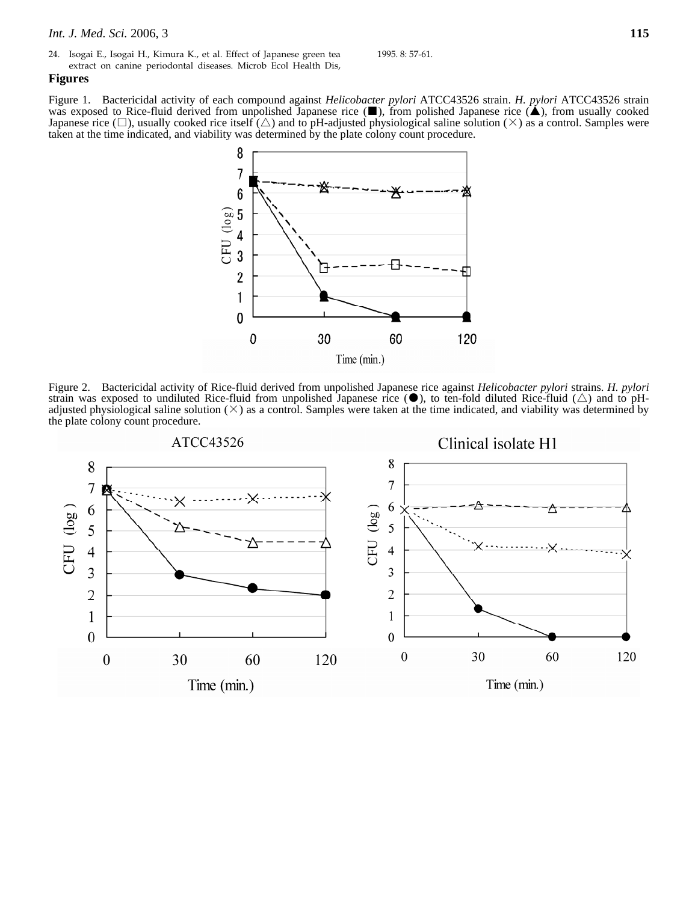24. Isogai E., Isogai H., Kimura K., et al. Effect of Japanese green tea extract on canine periodontal diseases. Microb Ecol Health Dis,

1995. 8: 57-61.

### **Figures**

Figure 1. Bactericidal activity of each compound against *Helicobacter pylori* ATCC43526 strain. *H. pylori* ATCC43526 strain was exposed to Rice-fluid derived from unpolished Japanese rice (■), from polished Japanese rice (▲), from usually cooked Japanese rice  $(\Box)$ , usually cooked rice itself  $(\triangle)$  and to pH-adjusted physiological saline solution  $(\times)$  as a control. Samples were taken at the time indicated, and viability was determined by the plate colony count procedure.



Figure 2. Bactericidal activity of Rice-fluid derived from unpolished Japanese rice against *Helicobacter pylori* strains. *H. pylori* strain was exposed to undiluted Rice-fluid from unpolished Japanese rice ( $\bullet$ ), to ten-fold diluted Rice-fluid ( $\triangle$ ) and to pHadjusted physiological saline solution  $(\times)$  as a control. Samples were taken at the time indicated, and viability was determined by the plate colony count procedure.